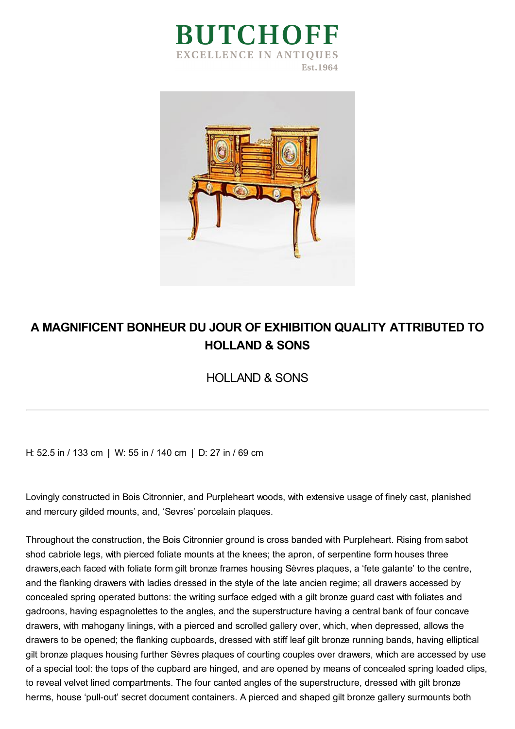



## **A MAGNIFICENT BONHEUR DU JOUR OF EXHIBITION QUALITY ATTRIBUTED TO HOLLAND & SONS**

HOLLAND & SONS

H: 52.5 in / 133 cm | W: 55 in / 140 cm | D: 27 in / 69 cm

Lovingly constructed in Bois Citronnier, and Purpleheart woods, with extensive usage of finely cast, planished and mercury gilded mounts, and, 'Sevres' porcelain plaques.

Throughout the construction, the Bois Citronnier ground is cross banded with Purpleheart. Rising from sabot shod cabriole legs, with pierced foliate mounts at the knees; the apron, of serpentine form houses three drawers,each faced with foliate form gilt bronze frames housing Sèvres plaques, a 'fete galante' to the centre, and the flanking drawers with ladies dressed in the style of the late ancien regime; all drawers accessed by concealed spring operated buttons: the writing surface edged with a gilt bronze guard cast with foliates and gadroons, having espagnolettes to the angles, and the superstructure having a central bank of four concave drawers, with mahogany linings, with a pierced and scrolled gallery over, which, when depressed, allows the drawers to be opened; the flanking cupboards, dressed with stiff leaf gilt bronze running bands, having elliptical gilt bronze plaques housing further Sèvres plaques of courting couples over drawers, which are accessed by use of a special tool: the tops of the cupbard are hinged, and are opened by means of concealed spring loaded clips, to reveal velvet lined compartments. The four canted angles of the superstructure, dressed with gilt bronze herms, house 'pull-out' secret document containers. A pierced and shaped gilt bronze gallery surmounts both